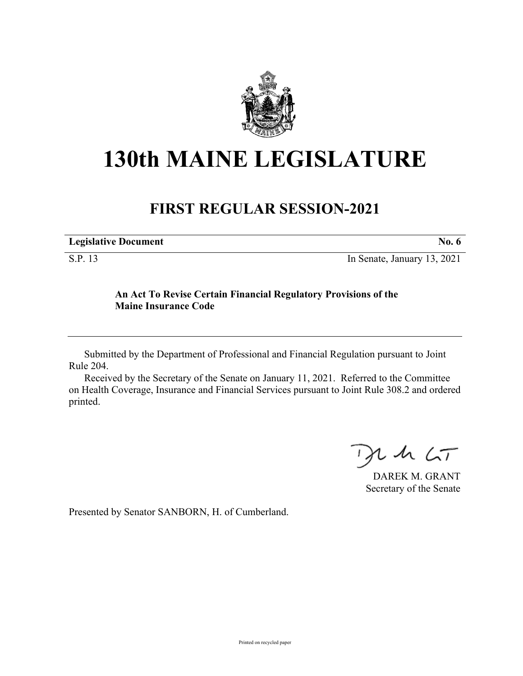

## **130th MAINE LEGISLATURE**

## **FIRST REGULAR SESSION-2021**

| <b>Legislative Document</b> |  |
|-----------------------------|--|
|                             |  |

S.P. 13 In Senate, January 13, 2021

## **An Act To Revise Certain Financial Regulatory Provisions of the Maine Insurance Code**

Submitted by the Department of Professional and Financial Regulation pursuant to Joint Rule 204.

Received by the Secretary of the Senate on January 11, 2021. Referred to the Committee on Health Coverage, Insurance and Financial Services pursuant to Joint Rule 308.2 and ordered printed.

 $125$ 

DAREK M. GRANT Secretary of the Senate

Presented by Senator SANBORN, H. of Cumberland.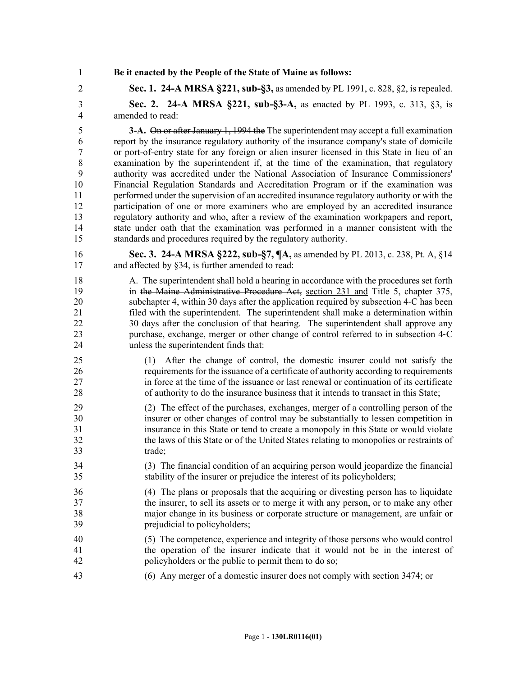1 **Be it enacted by the People of the State of Maine as follows:**

2 **Sec. 1. 24-A MRSA §221, sub-§3,** as amended by PL 1991, c. 828, §2, is repealed. 3 **Sec. 2. 24-A MRSA §221, sub-§3-A,** as enacted by PL 1993, c. 313, §3, is 4 amended to read:

5 **3-A.** On or after January 1, 1994 the The superintendent may accept a full examination 6 report by the insurance regulatory authority of the insurance company's state of domicile 7 or port-of-entry state for any foreign or alien insurer licensed in this State in lieu of an 8 examination by the superintendent if, at the time of the examination, that regulatory 9 authority was accredited under the National Association of Insurance Commissioners' 10 Financial Regulation Standards and Accreditation Program or if the examination was 11 performed under the supervision of an accredited insurance regulatory authority or with the 12 participation of one or more examiners who are employed by an accredited insurance 13 regulatory authority and who, after a review of the examination workpapers and report, 14 state under oath that the examination was performed in a manner consistent with the 15 standards and procedures required by the regulatory authority.

- 16 **Sec. 3. 24-A MRSA §222, sub-§7, ¶A,** as amended by PL 2013, c. 238, Pt. A, §14 17 and affected by §34, is further amended to read:
- 18 A. The superintendent shall hold a hearing in accordance with the procedures set forth 19 in the Maine Administrative Procedure Act, section 231 and Title 5, chapter 375, 20 subchapter 4, within 30 days after the application required by subsection 4‑C has been 21 filed with the superintendent. The superintendent shall make a determination within 22 30 days after the conclusion of that hearing. The superintendent shall approve any 23 purchase, exchange, merger or other change of control referred to in subsection 4‑C 24 unless the superintendent finds that:
- 25 (1) After the change of control, the domestic insurer could not satisfy the 26 requirements for the issuance of a certificate of authority according to requirements 27 in force at the time of the issuance or last renewal or continuation of its certificate 28 of authority to do the insurance business that it intends to transact in this State;
- 29 (2) The effect of the purchases, exchanges, merger of a controlling person of the 30 insurer or other changes of control may be substantially to lessen competition in 31 insurance in this State or tend to create a monopoly in this State or would violate 32 the laws of this State or of the United States relating to monopolies or restraints of 33 trade;
- 34 (3) The financial condition of an acquiring person would jeopardize the financial 35 stability of the insurer or prejudice the interest of its policyholders;
- 36 (4) The plans or proposals that the acquiring or divesting person has to liquidate 37 the insurer, to sell its assets or to merge it with any person, or to make any other 38 major change in its business or corporate structure or management, are unfair or 39 prejudicial to policyholders;
- 40 (5) The competence, experience and integrity of those persons who would control 41 the operation of the insurer indicate that it would not be in the interest of 42 policyholders or the public to permit them to do so;
- 43 (6) Any merger of a domestic insurer does not comply with section 3474; or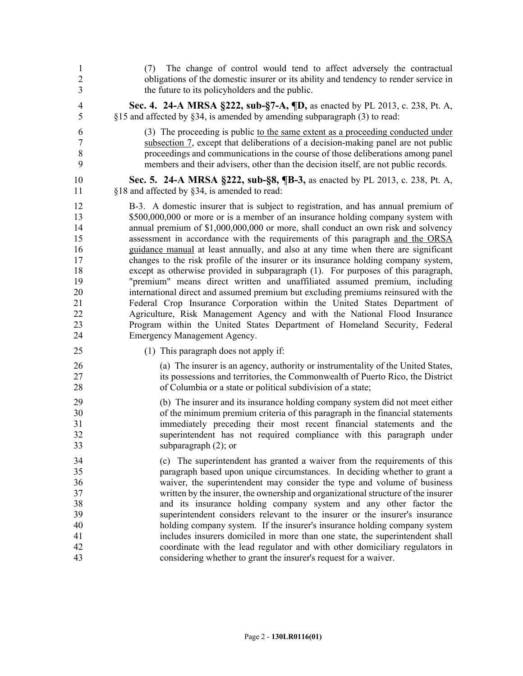| $\mathbf{1}$<br>$\overline{2}$<br>3 | The change of control would tend to affect adversely the contractual<br>(7)<br>obligations of the domestic insurer or its ability and tendency to render service in<br>the future to its policyholders and the public. |
|-------------------------------------|------------------------------------------------------------------------------------------------------------------------------------------------------------------------------------------------------------------------|
| $\overline{4}$                      | Sec. 4. 24-A MRSA §222, sub-§7-A, ¶D, as enacted by PL 2013, c. 238, Pt. A,                                                                                                                                            |
| 5                                   | §15 and affected by §34, is amended by amending subparagraph (3) to read:                                                                                                                                              |
| 6                                   | (3) The proceeding is public to the same extent as a proceeding conducted under                                                                                                                                        |
| $\overline{7}$                      | subsection 7, except that deliberations of a decision-making panel are not public                                                                                                                                      |
| 8                                   | proceedings and communications in the course of those deliberations among panel                                                                                                                                        |
| 9                                   | members and their advisers, other than the decision itself, are not public records.                                                                                                                                    |
| 10                                  | Sec. 5. 24-A MRSA §222, sub-§8, ¶B-3, as enacted by PL 2013, c. 238, Pt. A,                                                                                                                                            |
| 11                                  | §18 and affected by §34, is amended to read:                                                                                                                                                                           |
| 12                                  | B-3. A domestic insurer that is subject to registration, and has annual premium of                                                                                                                                     |
| 13                                  | \$500,000,000 or more or is a member of an insurance holding company system with                                                                                                                                       |
| 14                                  | annual premium of \$1,000,000,000 or more, shall conduct an own risk and solvency                                                                                                                                      |
| 15                                  | assessment in accordance with the requirements of this paragraph and the ORSA                                                                                                                                          |
| 16                                  | guidance manual at least annually, and also at any time when there are significant                                                                                                                                     |
| 17                                  | changes to the risk profile of the insurer or its insurance holding company system,                                                                                                                                    |
| 18                                  | except as otherwise provided in subparagraph (1). For purposes of this paragraph,                                                                                                                                      |
| 19                                  | "premium" means direct written and unaffiliated assumed premium, including                                                                                                                                             |
| 20                                  | international direct and assumed premium but excluding premiums reinsured with the                                                                                                                                     |
| 21                                  | Federal Crop Insurance Corporation within the United States Department of                                                                                                                                              |
| 22                                  | Agriculture, Risk Management Agency and with the National Flood Insurance                                                                                                                                              |
| 23                                  | Program within the United States Department of Homeland Security, Federal                                                                                                                                              |
| 24                                  | Emergency Management Agency.                                                                                                                                                                                           |
| 25                                  | (1) This paragraph does not apply if:                                                                                                                                                                                  |
| 26                                  | (a) The insurer is an agency, authority or instrumentality of the United States,                                                                                                                                       |
| 27                                  | its possessions and territories, the Commonwealth of Puerto Rico, the District                                                                                                                                         |
| 28                                  | of Columbia or a state or political subdivision of a state;                                                                                                                                                            |
| 29                                  | (b) The insurer and its insurance holding company system did not meet either                                                                                                                                           |
| 30                                  | of the minimum premium criteria of this paragraph in the financial statements                                                                                                                                          |
| 31                                  | immediately preceding their most recent financial statements and the                                                                                                                                                   |
| 32                                  | superintendent has not required compliance with this paragraph under                                                                                                                                                   |
| 33                                  | subparagraph $(2)$ ; or                                                                                                                                                                                                |
| 34                                  | (c) The superintendent has granted a waiver from the requirements of this                                                                                                                                              |
| 35                                  | paragraph based upon unique circumstances. In deciding whether to grant a                                                                                                                                              |
| 36                                  | waiver, the superintendent may consider the type and volume of business                                                                                                                                                |
| 37                                  | written by the insurer, the ownership and organizational structure of the insurer                                                                                                                                      |
| 38                                  | and its insurance holding company system and any other factor the                                                                                                                                                      |
| 39                                  | superintendent considers relevant to the insurer or the insurer's insurance                                                                                                                                            |
| 40                                  | holding company system. If the insurer's insurance holding company system                                                                                                                                              |
| 41                                  | includes insurers domiciled in more than one state, the superintendent shall                                                                                                                                           |
| 42                                  | coordinate with the lead regulator and with other domiciliary regulators in                                                                                                                                            |
| 43                                  | considering whether to grant the insurer's request for a waiver.                                                                                                                                                       |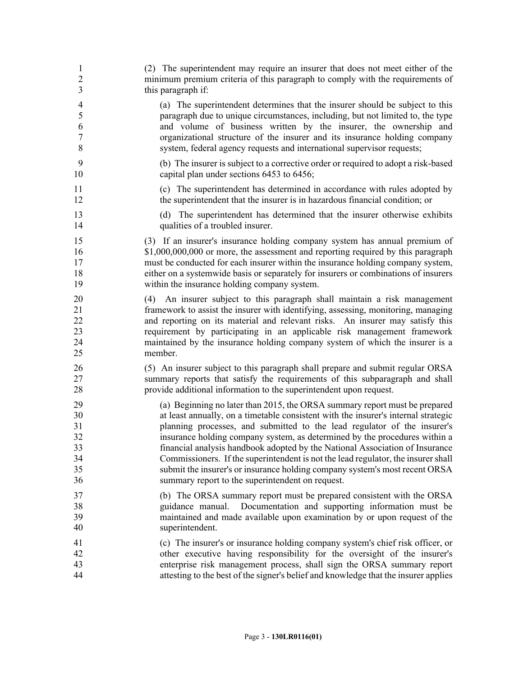| $\mathbf{1}$                     | (2) The superintendent may require an insurer that does not meet either of the                                                                                                                                                                                                                                                                                                                                           |
|----------------------------------|--------------------------------------------------------------------------------------------------------------------------------------------------------------------------------------------------------------------------------------------------------------------------------------------------------------------------------------------------------------------------------------------------------------------------|
| $\overline{2}$                   | minimum premium criteria of this paragraph to comply with the requirements of                                                                                                                                                                                                                                                                                                                                            |
| 3                                | this paragraph if:                                                                                                                                                                                                                                                                                                                                                                                                       |
| $\overline{\mathcal{A}}$         | (a) The superintendent determines that the insurer should be subject to this                                                                                                                                                                                                                                                                                                                                             |
| 5                                | paragraph due to unique circumstances, including, but not limited to, the type                                                                                                                                                                                                                                                                                                                                           |
| 6                                | and volume of business written by the insurer, the ownership and                                                                                                                                                                                                                                                                                                                                                         |
| $\boldsymbol{7}$                 | organizational structure of the insurer and its insurance holding company                                                                                                                                                                                                                                                                                                                                                |
| 8                                | system, federal agency requests and international supervisor requests;                                                                                                                                                                                                                                                                                                                                                   |
| 9                                | (b) The insurer is subject to a corrective order or required to adopt a risk-based                                                                                                                                                                                                                                                                                                                                       |
| 10                               | capital plan under sections 6453 to 6456;                                                                                                                                                                                                                                                                                                                                                                                |
| 11                               | (c) The superintendent has determined in accordance with rules adopted by                                                                                                                                                                                                                                                                                                                                                |
| 12                               | the superintendent that the insurer is in hazardous financial condition; or                                                                                                                                                                                                                                                                                                                                              |
| 13                               | (d) The superintendent has determined that the insurer otherwise exhibits                                                                                                                                                                                                                                                                                                                                                |
| 14                               | qualities of a troubled insurer.                                                                                                                                                                                                                                                                                                                                                                                         |
| 15                               | (3) If an insurer's insurance holding company system has annual premium of                                                                                                                                                                                                                                                                                                                                               |
| 16                               | \$1,000,000,000 or more, the assessment and reporting required by this paragraph                                                                                                                                                                                                                                                                                                                                         |
| 17                               | must be conducted for each insurer within the insurance holding company system,                                                                                                                                                                                                                                                                                                                                          |
| 18                               | either on a systemwide basis or separately for insurers or combinations of insurers                                                                                                                                                                                                                                                                                                                                      |
| 19                               | within the insurance holding company system.                                                                                                                                                                                                                                                                                                                                                                             |
| 20<br>21<br>22<br>23<br>24<br>25 | An insurer subject to this paragraph shall maintain a risk management<br>(4)<br>framework to assist the insurer with identifying, assessing, monitoring, managing<br>and reporting on its material and relevant risks. An insurer may satisfy this<br>requirement by participating in an applicable risk management framework<br>maintained by the insurance holding company system of which the insurer is a<br>member. |
| 26                               | (5) An insurer subject to this paragraph shall prepare and submit regular ORSA                                                                                                                                                                                                                                                                                                                                           |
| 27                               | summary reports that satisfy the requirements of this subparagraph and shall                                                                                                                                                                                                                                                                                                                                             |
| 28                               | provide additional information to the superintendent upon request.                                                                                                                                                                                                                                                                                                                                                       |
| 29                               | (a) Beginning no later than 2015, the ORSA summary report must be prepared                                                                                                                                                                                                                                                                                                                                               |
| 30                               | at least annually, on a timetable consistent with the insurer's internal strategic                                                                                                                                                                                                                                                                                                                                       |
| 31                               | planning processes, and submitted to the lead regulator of the insurer's                                                                                                                                                                                                                                                                                                                                                 |
| 32                               | insurance holding company system, as determined by the procedures within a                                                                                                                                                                                                                                                                                                                                               |
| 33                               | financial analysis handbook adopted by the National Association of Insurance                                                                                                                                                                                                                                                                                                                                             |
| 34                               | Commissioners. If the superintendent is not the lead regulator, the insurer shall                                                                                                                                                                                                                                                                                                                                        |
| 35                               | submit the insurer's or insurance holding company system's most recent ORSA                                                                                                                                                                                                                                                                                                                                              |
| 36                               | summary report to the superintendent on request.                                                                                                                                                                                                                                                                                                                                                                         |
| 37                               | (b) The ORSA summary report must be prepared consistent with the ORSA                                                                                                                                                                                                                                                                                                                                                    |
| 38                               | guidance manual. Documentation and supporting information must be                                                                                                                                                                                                                                                                                                                                                        |
| 39                               | maintained and made available upon examination by or upon request of the                                                                                                                                                                                                                                                                                                                                                 |
| 40                               | superintendent.                                                                                                                                                                                                                                                                                                                                                                                                          |
| 41                               | (c) The insurer's or insurance holding company system's chief risk officer, or                                                                                                                                                                                                                                                                                                                                           |
| 42                               | other executive having responsibility for the oversight of the insurer's                                                                                                                                                                                                                                                                                                                                                 |
| 43                               | enterprise risk management process, shall sign the ORSA summary report                                                                                                                                                                                                                                                                                                                                                   |
| 44                               | attesting to the best of the signer's belief and knowledge that the insurer applies                                                                                                                                                                                                                                                                                                                                      |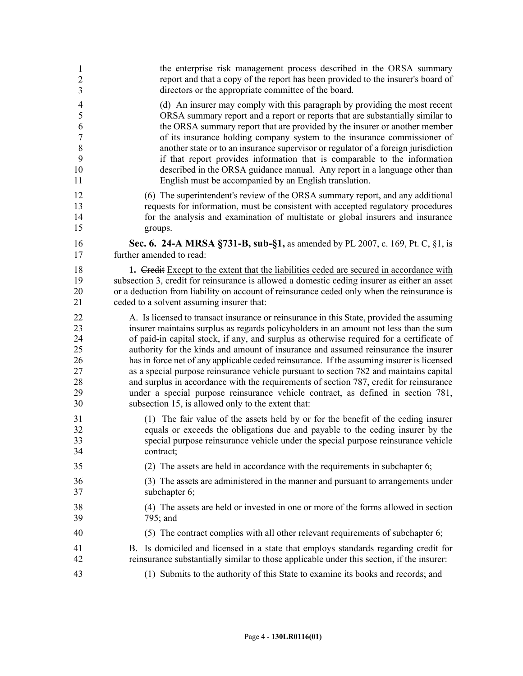| 1              | the enterprise risk management process described in the ORSA summary                         |
|----------------|----------------------------------------------------------------------------------------------|
| $\overline{c}$ | report and that a copy of the report has been provided to the insurer's board of             |
| 3              | directors or the appropriate committee of the board.                                         |
| $\overline{4}$ | (d) An insurer may comply with this paragraph by providing the most recent                   |
| 5              | ORSA summary report and a report or reports that are substantially similar to                |
| 6              | the ORSA summary report that are provided by the insurer or another member                   |
| $\tau$         | of its insurance holding company system to the insurance commissioner of                     |
| $\,8\,$        | another state or to an insurance supervisor or regulator of a foreign jurisdiction           |
| 9              | if that report provides information that is comparable to the information                    |
| 10             | described in the ORSA guidance manual. Any report in a language other than                   |
| 11             | English must be accompanied by an English translation.                                       |
| 12             | (6) The superintendent's review of the ORSA summary report, and any additional               |
| 13             | requests for information, must be consistent with accepted regulatory procedures             |
| 14             | for the analysis and examination of multistate or global insurers and insurance              |
| 15             | groups.                                                                                      |
| 16             | Sec. 6. 24-A MRSA §731-B, sub-§1, as amended by PL 2007, c. 169, Pt. C, §1, is               |
| 17             | further amended to read:                                                                     |
| 18             | 1. Credit Except to the extent that the liabilities ceded are secured in accordance with     |
| 19             | subsection 3, credit for reinsurance is allowed a domestic ceding insurer as either an asset |
| 20             | or a deduction from liability on account of reinsurance ceded only when the reinsurance is   |
| 21             | ceded to a solvent assuming insurer that:                                                    |
| 22             | A. Is licensed to transact insurance or reinsurance in this State, provided the assuming     |
| 23             | insurer maintains surplus as regards policyholders in an amount not less than the sum        |
| 24             | of paid-in capital stock, if any, and surplus as otherwise required for a certificate of     |
| 25             | authority for the kinds and amount of insurance and assumed reinsurance the insurer          |
| 26             | has in force net of any applicable ceded reinsurance. If the assuming insurer is licensed    |
| 27             | as a special purpose reinsurance vehicle pursuant to section 782 and maintains capital       |
| 28             | and surplus in accordance with the requirements of section 787, credit for reinsurance       |
| 29             | under a special purpose reinsurance vehicle contract, as defined in section 781,             |
| 30             | subsection 15, is allowed only to the extent that:                                           |
| 31             | (1) The fair value of the assets held by or for the benefit of the ceding insurer            |
| 32             | equals or exceeds the obligations due and payable to the ceding insurer by the               |
| 33             | special purpose reinsurance vehicle under the special purpose reinsurance vehicle            |
| 34             | contract;                                                                                    |
| 35             | (2) The assets are held in accordance with the requirements in subchapter 6;                 |
| 36             | (3) The assets are administered in the manner and pursuant to arrangements under             |
| 37             | subchapter 6;                                                                                |
| 38             | (4) The assets are held or invested in one or more of the forms allowed in section           |
| 39             | 795; and                                                                                     |
| 40             | (5) The contract complies with all other relevant requirements of subchapter 6;              |
| 41             | B. Is domiciled and licensed in a state that employs standards regarding credit for          |
| 42             | reinsurance substantially similar to those applicable under this section, if the insurer:    |
| 43             | (1) Submits to the authority of this State to examine its books and records; and             |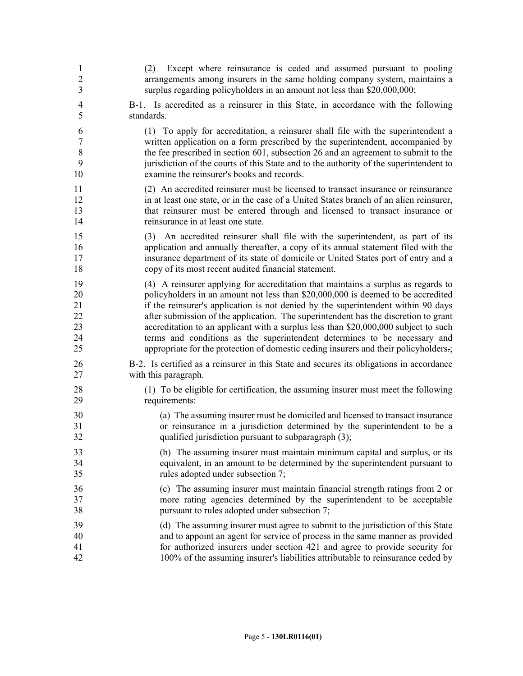| $\mathbf{1}$<br>$\overline{c}$<br>$\overline{\mathbf{3}}$ | Except where reinsurance is ceded and assumed pursuant to pooling<br>(2)<br>arrangements among insurers in the same holding company system, maintains a<br>surplus regarding policyholders in an amount not less than \$20,000,000;                                                                                   |
|-----------------------------------------------------------|-----------------------------------------------------------------------------------------------------------------------------------------------------------------------------------------------------------------------------------------------------------------------------------------------------------------------|
| $\overline{4}$                                            | B-1. Is accredited as a reinsurer in this State, in accordance with the following                                                                                                                                                                                                                                     |
| 5                                                         | standards.                                                                                                                                                                                                                                                                                                            |
| 6                                                         | (1) To apply for accreditation, a reinsurer shall file with the superintendent a                                                                                                                                                                                                                                      |
| $\overline{7}$                                            | written application on a form prescribed by the superintendent, accompanied by                                                                                                                                                                                                                                        |
| $\,$ $\,$                                                 | the fee prescribed in section 601, subsection 26 and an agreement to submit to the                                                                                                                                                                                                                                    |
| 9                                                         | jurisdiction of the courts of this State and to the authority of the superintendent to                                                                                                                                                                                                                                |
| 10                                                        | examine the reinsurer's books and records.                                                                                                                                                                                                                                                                            |
| 11                                                        | (2) An accredited reinsurer must be licensed to transact insurance or reinsurance                                                                                                                                                                                                                                     |
| 12                                                        | in at least one state, or in the case of a United States branch of an alien reinsurer,                                                                                                                                                                                                                                |
| 13                                                        | that reinsurer must be entered through and licensed to transact insurance or                                                                                                                                                                                                                                          |
| 14                                                        | reinsurance in at least one state.                                                                                                                                                                                                                                                                                    |
| 15<br>16<br>17<br>18                                      | An accredited reinsurer shall file with the superintendent, as part of its<br>(3)<br>application and annually thereafter, a copy of its annual statement filed with the<br>insurance department of its state of domicile or United States port of entry and a<br>copy of its most recent audited financial statement. |
| 19                                                        | (4) A reinsurer applying for accreditation that maintains a surplus as regards to                                                                                                                                                                                                                                     |
| 20                                                        | policyholders in an amount not less than \$20,000,000 is deemed to be accredited                                                                                                                                                                                                                                      |
| 21                                                        | if the reinsurer's application is not denied by the superintendent within 90 days                                                                                                                                                                                                                                     |
| 22                                                        | after submission of the application. The superintendent has the discretion to grant                                                                                                                                                                                                                                   |
| 23                                                        | accreditation to an applicant with a surplus less than \$20,000,000 subject to such                                                                                                                                                                                                                                   |
| 24                                                        | terms and conditions as the superintendent determines to be necessary and                                                                                                                                                                                                                                             |
| 25                                                        | appropriate for the protection of domestic ceding insurers and their policyholders-;                                                                                                                                                                                                                                  |
| 26                                                        | B-2. Is certified as a reinsurer in this State and secures its obligations in accordance                                                                                                                                                                                                                              |
| 27                                                        | with this paragraph.                                                                                                                                                                                                                                                                                                  |
| 28                                                        | (1) To be eligible for certification, the assuming insurer must meet the following                                                                                                                                                                                                                                    |
| 29                                                        | requirements:                                                                                                                                                                                                                                                                                                         |
| 30                                                        | (a) The assuming insurer must be domiciled and licensed to transact insurance                                                                                                                                                                                                                                         |
| 31                                                        | or reinsurance in a jurisdiction determined by the superintendent to be a                                                                                                                                                                                                                                             |
| 32                                                        | qualified jurisdiction pursuant to subparagraph (3);                                                                                                                                                                                                                                                                  |
| 33                                                        | (b) The assuming insurer must maintain minimum capital and surplus, or its                                                                                                                                                                                                                                            |
| 34                                                        | equivalent, in an amount to be determined by the superintendent pursuant to                                                                                                                                                                                                                                           |
| 35                                                        | rules adopted under subsection 7;                                                                                                                                                                                                                                                                                     |
| 36                                                        | (c) The assuming insurer must maintain financial strength ratings from 2 or                                                                                                                                                                                                                                           |
| 37                                                        | more rating agencies determined by the superintendent to be acceptable                                                                                                                                                                                                                                                |
| 38                                                        | pursuant to rules adopted under subsection 7;                                                                                                                                                                                                                                                                         |
| 39                                                        | (d) The assuming insurer must agree to submit to the jurisdiction of this State                                                                                                                                                                                                                                       |
| 40                                                        | and to appoint an agent for service of process in the same manner as provided                                                                                                                                                                                                                                         |
| 41                                                        | for authorized insurers under section 421 and agree to provide security for                                                                                                                                                                                                                                           |
| 42                                                        | 100% of the assuming insurer's liabilities attributable to reinsurance ceded by                                                                                                                                                                                                                                       |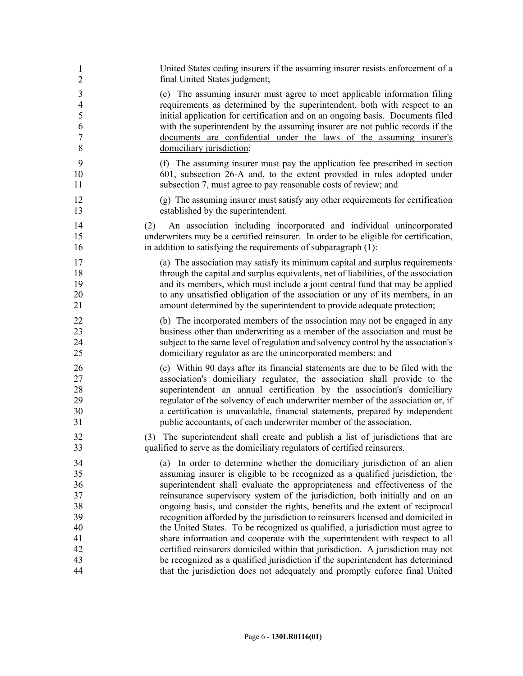| 1              | United States ceding insurers if the assuming insurer resists enforcement of a                                                                                                                                                         |
|----------------|----------------------------------------------------------------------------------------------------------------------------------------------------------------------------------------------------------------------------------------|
| $\overline{2}$ | final United States judgment;                                                                                                                                                                                                          |
| 3              | (e) The assuming insurer must agree to meet applicable information filing                                                                                                                                                              |
| $\overline{4}$ | requirements as determined by the superintendent, both with respect to an                                                                                                                                                              |
| 5              | initial application for certification and on an ongoing basis. Documents filed                                                                                                                                                         |
| 6              | with the superintendent by the assuming insurer are not public records if the                                                                                                                                                          |
| $\tau$         | documents are confidential under the laws of the assuming insurer's                                                                                                                                                                    |
| 8              | domiciliary jurisdiction;                                                                                                                                                                                                              |
| 9              | (f) The assuming insurer must pay the application fee prescribed in section                                                                                                                                                            |
| 10             | 601, subsection 26-A and, to the extent provided in rules adopted under                                                                                                                                                                |
| 11             | subsection 7, must agree to pay reasonable costs of review; and                                                                                                                                                                        |
| 12             | (g) The assuming insurer must satisfy any other requirements for certification                                                                                                                                                         |
| 13             | established by the superintendent.                                                                                                                                                                                                     |
| 14<br>15<br>16 | An association including incorporated and individual unincorporated<br>(2)<br>underwriters may be a certified reinsurer. In order to be eligible for certification,<br>in addition to satisfying the requirements of subparagraph (1): |
| 17             | (a) The association may satisfy its minimum capital and surplus requirements                                                                                                                                                           |
| 18             | through the capital and surplus equivalents, net of liabilities, of the association                                                                                                                                                    |
| 19             | and its members, which must include a joint central fund that may be applied                                                                                                                                                           |
| 20             | to any unsatisfied obligation of the association or any of its members, in an                                                                                                                                                          |
| 21             | amount determined by the superintendent to provide adequate protection;                                                                                                                                                                |
| 22             | (b) The incorporated members of the association may not be engaged in any                                                                                                                                                              |
| 23             | business other than underwriting as a member of the association and must be                                                                                                                                                            |
| 24             | subject to the same level of regulation and solvency control by the association's                                                                                                                                                      |
| 25             | domiciliary regulator as are the unincorporated members; and                                                                                                                                                                           |
| 26             | (c) Within 90 days after its financial statements are due to be filed with the                                                                                                                                                         |
| 27             | association's domiciliary regulator, the association shall provide to the                                                                                                                                                              |
| 28             | superintendent an annual certification by the association's domiciliary                                                                                                                                                                |
| 29             | regulator of the solvency of each underwriter member of the association or, if                                                                                                                                                         |
| 30             | a certification is unavailable, financial statements, prepared by independent                                                                                                                                                          |
| 31             | public accountants, of each underwriter member of the association.                                                                                                                                                                     |
| 32<br>33       | The superintendent shall create and publish a list of jurisdictions that are<br>(3)<br>qualified to serve as the domiciliary regulators of certified reinsurers.                                                                       |
| 34             | (a) In order to determine whether the domiciliary jurisdiction of an alien                                                                                                                                                             |
| 35             | assuming insurer is eligible to be recognized as a qualified jurisdiction, the                                                                                                                                                         |
| 36             | superintendent shall evaluate the appropriateness and effectiveness of the                                                                                                                                                             |
| 37             | reinsurance supervisory system of the jurisdiction, both initially and on an                                                                                                                                                           |
| 38             | ongoing basis, and consider the rights, benefits and the extent of reciprocal                                                                                                                                                          |
| 39             | recognition afforded by the jurisdiction to reinsurers licensed and domiciled in                                                                                                                                                       |
| 40             | the United States. To be recognized as qualified, a jurisdiction must agree to                                                                                                                                                         |
| 41             | share information and cooperate with the superintendent with respect to all                                                                                                                                                            |
| 42             | certified reinsurers domiciled within that jurisdiction. A jurisdiction may not                                                                                                                                                        |
| 43             | be recognized as a qualified jurisdiction if the superintendent has determined                                                                                                                                                         |
| 44             | that the jurisdiction does not adequately and promptly enforce final United                                                                                                                                                            |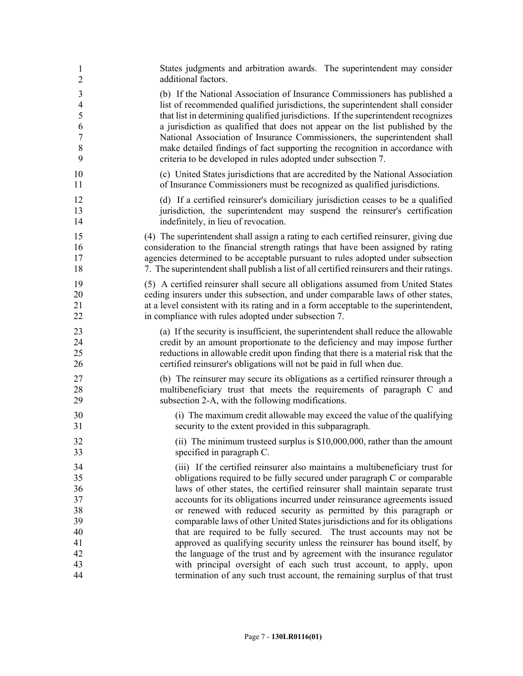| 1              | States judgments and arbitration awards. The superintendent may consider                  |
|----------------|-------------------------------------------------------------------------------------------|
| $\overline{2}$ | additional factors.                                                                       |
| $\mathfrak{Z}$ | (b) If the National Association of Insurance Commissioners has published a                |
| $\overline{4}$ | list of recommended qualified jurisdictions, the superintendent shall consider            |
| 5              | that list in determining qualified jurisdictions. If the superintendent recognizes        |
| 6              | a jurisdiction as qualified that does not appear on the list published by the             |
| $\tau$         | National Association of Insurance Commissioners, the superintendent shall                 |
| $\,8\,$        | make detailed findings of fact supporting the recognition in accordance with              |
| 9              | criteria to be developed in rules adopted under subsection 7.                             |
| 10             | (c) United States jurisdictions that are accredited by the National Association           |
| 11             | of Insurance Commissioners must be recognized as qualified jurisdictions.                 |
| 12             | (d) If a certified reinsurer's domiciliary jurisdiction ceases to be a qualified          |
| 13             | jurisdiction, the superintendent may suspend the reinsurer's certification                |
| 14             | indefinitely, in lieu of revocation.                                                      |
| 15             | (4) The superintendent shall assign a rating to each certified reinsurer, giving due      |
| 16             | consideration to the financial strength ratings that have been assigned by rating         |
| 17             | agencies determined to be acceptable pursuant to rules adopted under subsection           |
| 18             | 7. The superintendent shall publish a list of all certified reinsurers and their ratings. |
| 19             | (5) A certified reinsurer shall secure all obligations assumed from United States         |
| 20             | ceding insurers under this subsection, and under comparable laws of other states,         |
| 21             | at a level consistent with its rating and in a form acceptable to the superintendent,     |
| 22             | in compliance with rules adopted under subsection 7.                                      |
| 23             | (a) If the security is insufficient, the superintendent shall reduce the allowable        |
| 24             | credit by an amount proportionate to the deficiency and may impose further                |
| 25             | reductions in allowable credit upon finding that there is a material risk that the        |
| 26             | certified reinsurer's obligations will not be paid in full when due.                      |
| 27             | (b) The reinsurer may secure its obligations as a certified reinsurer through a           |
| 28             | multibeneficiary trust that meets the requirements of paragraph C and                     |
| 29             | subsection 2-A, with the following modifications.                                         |
| 30             | (i) The maximum credit allowable may exceed the value of the qualifying                   |
| 31             | security to the extent provided in this subparagraph.                                     |
| 32             | (ii) The minimum trusteed surplus is $$10,000,000$ , rather than the amount               |
| 33             | specified in paragraph C.                                                                 |
| 34             | (iii) If the certified reinsurer also maintains a multibeneficiary trust for              |
| 35             | obligations required to be fully secured under paragraph C or comparable                  |
| 36             | laws of other states, the certified reinsurer shall maintain separate trust               |
| 37             | accounts for its obligations incurred under reinsurance agreements issued                 |
| 38             | or renewed with reduced security as permitted by this paragraph or                        |
| 39             | comparable laws of other United States jurisdictions and for its obligations              |
| 40             | that are required to be fully secured. The trust accounts may not be                      |
| 41             | approved as qualifying security unless the reinsurer has bound itself, by                 |
| 42             | the language of the trust and by agreement with the insurance regulator                   |
| 43             | with principal oversight of each such trust account, to apply, upon                       |
| 44             | termination of any such trust account, the remaining surplus of that trust                |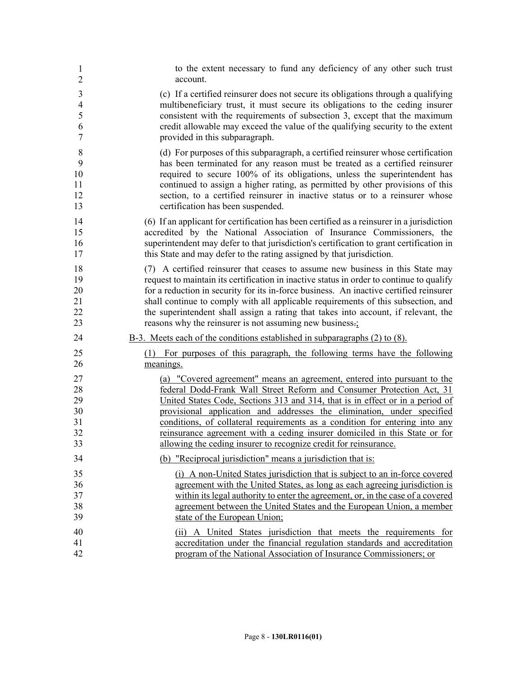| 1              | to the extent necessary to fund any deficiency of any other such trust                    |
|----------------|-------------------------------------------------------------------------------------------|
| $\overline{2}$ | account.                                                                                  |
| 3              | (c) If a certified reinsurer does not secure its obligations through a qualifying         |
| $\overline{4}$ | multibeneficiary trust, it must secure its obligations to the ceding insurer              |
| 5              | consistent with the requirements of subsection 3, except that the maximum                 |
| 6              | credit allowable may exceed the value of the qualifying security to the extent            |
| $\overline{7}$ | provided in this subparagraph.                                                            |
| 8              | (d) For purposes of this subparagraph, a certified reinsurer whose certification          |
| 9              | has been terminated for any reason must be treated as a certified reinsurer               |
| 10             | required to secure 100% of its obligations, unless the superintendent has                 |
| 11             | continued to assign a higher rating, as permitted by other provisions of this             |
| 12             | section, to a certified reinsurer in inactive status or to a reinsurer whose              |
| 13             | certification has been suspended.                                                         |
| 14             | (6) If an applicant for certification has been certified as a reinsurer in a jurisdiction |
| 15             | accredited by the National Association of Insurance Commissioners, the                    |
| 16             | superintendent may defer to that jurisdiction's certification to grant certification in   |
| 17             | this State and may defer to the rating assigned by that jurisdiction.                     |
| 18             | (7) A certified reinsurer that ceases to assume new business in this State may            |
| 19             | request to maintain its certification in inactive status in order to continue to qualify  |
| 20             | for a reduction in security for its in-force business. An inactive certified reinsurer    |
| 21             | shall continue to comply with all applicable requirements of this subsection, and         |
| 22             | the superintendent shall assign a rating that takes into account, if relevant, the        |
| 23             | reasons why the reinsurer is not assuming new business.                                   |
| 24             | $B-3$ . Meets each of the conditions established in subparagraphs $(2)$ to $(8)$ .        |
| 25             | (1) For purposes of this paragraph, the following terms have the following                |
| 26             | meanings.                                                                                 |
| 27             | (a) "Covered agreement" means an agreement, entered into pursuant to the                  |
| 28             | federal Dodd-Frank Wall Street Reform and Consumer Protection Act, 31                     |
| 29             | United States Code, Sections 313 and 314, that is in effect or in a period of             |
| 30             | provisional application and addresses the elimination, under specified                    |
| 31             | conditions, of collateral requirements as a condition for entering into any               |
| 32             | reinsurance agreement with a ceding insurer domiciled in this State or for                |
| 33             | allowing the ceding insurer to recognize credit for reinsurance.                          |
| 34             | (b) "Reciprocal jurisdiction" means a jurisdiction that is:                               |
| 35             | (i) A non-United States jurisdiction that is subject to an in-force covered               |
| 36             | agreement with the United States, as long as each agreeing jurisdiction is                |
| 37             | within its legal authority to enter the agreement, or, in the case of a covered           |
| 38             | agreement between the United States and the European Union, a member                      |
| 39             | state of the European Union;                                                              |
| 40             | (ii) A United States jurisdiction that meets the requirements for                         |
| 41             | accreditation under the financial regulation standards and accreditation                  |
| 42             | program of the National Association of Insurance Commissioners; or                        |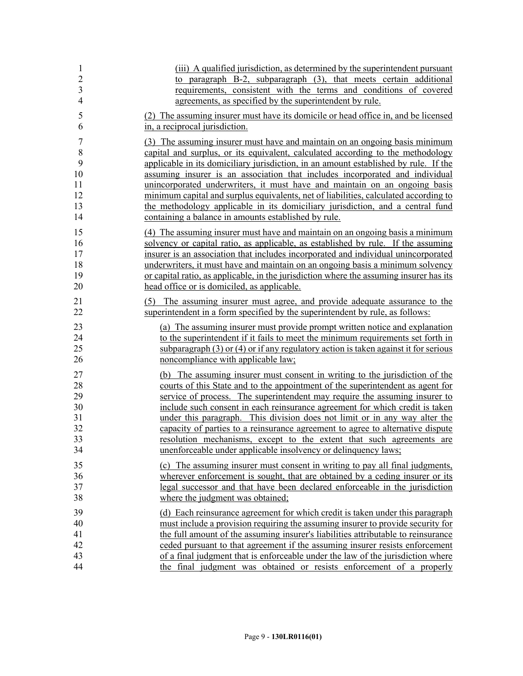| $\mathbf{1}$   | (iii) A qualified jurisdiction, as determined by the superintendent pursuant            |
|----------------|-----------------------------------------------------------------------------------------|
| $\overline{c}$ | to paragraph B-2, subparagraph (3), that meets certain additional                       |
| $\overline{3}$ | requirements, consistent with the terms and conditions of covered                       |
| $\overline{4}$ | agreements, as specified by the superintendent by rule.                                 |
| 5              | (2) The assuming insurer must have its domicile or head office in, and be licensed      |
| 6              | in, a reciprocal jurisdiction.                                                          |
| $\overline{7}$ | (3) The assuming insurer must have and maintain on an ongoing basis minimum             |
| 8              | capital and surplus, or its equivalent, calculated according to the methodology         |
| 9              | applicable in its domiciliary jurisdiction, in an amount established by rule. If the    |
| 10             | assuming insurer is an association that includes incorporated and individual            |
| 11             | unincorporated underwriters, it must have and maintain on an ongoing basis              |
| 12             | minimum capital and surplus equivalents, net of liabilities, calculated according to    |
| 13             | the methodology applicable in its domiciliary jurisdiction, and a central fund          |
| 14             | containing a balance in amounts established by rule.                                    |
| 15             | (4) The assuming insurer must have and maintain on an ongoing basis a minimum           |
| 16             | solvency or capital ratio, as applicable, as established by rule. If the assuming       |
| 17             | insurer is an association that includes incorporated and individual unincorporated      |
| 18             | underwriters, it must have and maintain on an ongoing basis a minimum solvency          |
| 19             | or capital ratio, as applicable, in the jurisdiction where the assuming insurer has its |
| 20             | head office or is domiciled, as applicable.                                             |
| 21             | (5) The assuming insurer must agree, and provide adequate assurance to the              |
| 22             | superintendent in a form specified by the superintendent by rule, as follows:           |
| 23             | (a) The assuming insurer must provide prompt written notice and explanation             |
| 24             | to the superintendent if it fails to meet the minimum requirements set forth in         |
| 25             | subparagraph $(3)$ or $(4)$ or if any regulatory action is taken against it for serious |
| 26             | noncompliance with applicable law;                                                      |
| 27             | (b) The assuming insurer must consent in writing to the jurisdiction of the             |
| 28             | courts of this State and to the appointment of the superintendent as agent for          |
| 29             | service of process. The superintendent may require the assuming insurer to              |
| 30             | include such consent in each reinsurance agreement for which credit is taken            |
| 31             | under this paragraph. This division does not limit or in any way alter the              |
| 32             | capacity of parties to a reinsurance agreement to agree to alternative dispute          |
| 33             | resolution mechanisms, except to the extent that such agreements are                    |
| 34             | unenforceable under applicable insolvency or delinquency laws;                          |
| 35             | (c) The assuming insurer must consent in writing to pay all final judgments,            |
| 36             | wherever enforcement is sought, that are obtained by a ceding insurer or its            |
| 37             | legal successor and that have been declared enforceable in the jurisdiction             |
| 38             | where the judgment was obtained;                                                        |
| 39             | (d) Each reinsurance agreement for which credit is taken under this paragraph           |
| 40             | must include a provision requiring the assuming insurer to provide security for         |
| 41             | the full amount of the assuming insurer's liabilities attributable to reinsurance       |
| 42             | ceded pursuant to that agreement if the assuming insurer resists enforcement            |
| 43             | of a final judgment that is enforceable under the law of the jurisdiction where         |
| 44             | the final judgment was obtained or resists enforcement of a properly                    |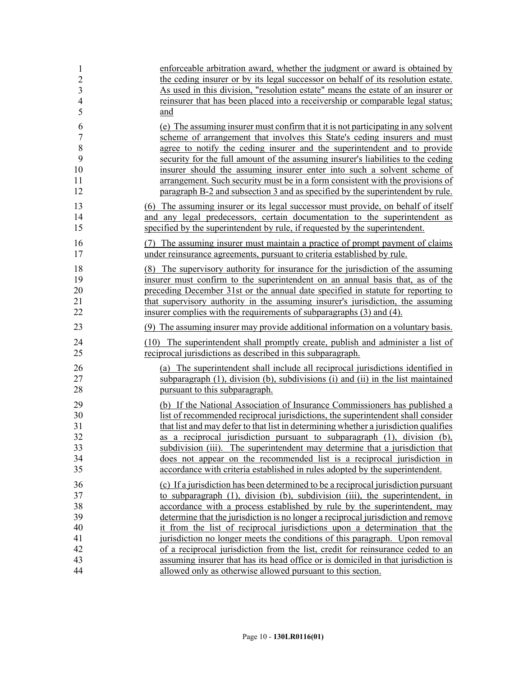| 1                                | enforceable arbitration award, whether the judgment or award is obtained by                                                                                       |
|----------------------------------|-------------------------------------------------------------------------------------------------------------------------------------------------------------------|
| $\overline{2}$                   | the ceding insurer or by its legal successor on behalf of its resolution estate.                                                                                  |
| $\overline{3}$<br>$\overline{4}$ | As used in this division, "resolution estate" means the estate of an insurer or<br>reinsurer that has been placed into a receivership or comparable legal status; |
| 5                                | and                                                                                                                                                               |
|                                  |                                                                                                                                                                   |
| 6                                | (e) The assuming insurer must confirm that it is not participating in any solvent                                                                                 |
| $\sqrt{ }$                       | scheme of arrangement that involves this State's ceding insurers and must                                                                                         |
| 8<br>9                           | agree to notify the ceding insurer and the superintendent and to provide<br>security for the full amount of the assuming insurer's liabilities to the ceding      |
| 10                               | insurer should the assuming insurer enter into such a solvent scheme of                                                                                           |
| 11                               | arrangement. Such security must be in a form consistent with the provisions of                                                                                    |
| 12                               | paragraph B-2 and subsection 3 and as specified by the superintendent by rule.                                                                                    |
| 13                               | (6) The assuming insurer or its legal successor must provide, on behalf of itself                                                                                 |
| 14                               | and any legal predecessors, certain documentation to the superintendent as                                                                                        |
| 15                               | specified by the superintendent by rule, if requested by the superintendent.                                                                                      |
| 16                               | (7) The assuming insurer must maintain a practice of prompt payment of claims                                                                                     |
| 17                               | under reinsurance agreements, pursuant to criteria established by rule.                                                                                           |
| 18                               | (8) The supervisory authority for insurance for the jurisdiction of the assuming                                                                                  |
| 19                               | insurer must confirm to the superintendent on an annual basis that, as of the                                                                                     |
| 20                               | preceding December 31st or the annual date specified in statute for reporting to                                                                                  |
| 21                               | that supervisory authority in the assuming insurer's jurisdiction, the assuming                                                                                   |
| 22                               | insurer complies with the requirements of subparagraphs (3) and (4).                                                                                              |
| 23                               | (9) The assuming insurer may provide additional information on a voluntary basis.                                                                                 |
| 24                               | (10) The superintendent shall promptly create, publish and administer a list of                                                                                   |
| 25                               | reciprocal jurisdictions as described in this subparagraph.                                                                                                       |
| 26                               | (a) The superintendent shall include all reciprocal jurisdictions identified in                                                                                   |
| 27                               | subparagraph (1), division (b), subdivisions (i) and (ii) in the list maintained                                                                                  |
| 28                               | pursuant to this subparagraph.                                                                                                                                    |
| 29                               | (b) If the National Association of Insurance Commissioners has published a                                                                                        |
| 30                               | list of recommended reciprocal jurisdictions, the superintendent shall consider                                                                                   |
| 31                               | that list and may defer to that list in determining whether a jurisdiction qualifies                                                                              |
| 32                               | as a reciprocal jurisdiction pursuant to subparagraph (1), division (b),                                                                                          |
| 33                               | subdivision (iii). The superintendent may determine that a jurisdiction that                                                                                      |
| 34                               | does not appear on the recommended list is a reciprocal jurisdiction in                                                                                           |
| 35                               | accordance with criteria established in rules adopted by the superintendent.                                                                                      |
| 36                               | (c) If a jurisdiction has been determined to be a reciprocal jurisdiction pursuant                                                                                |
| 37                               | to subparagraph (1), division (b), subdivision (iii), the superintendent, in                                                                                      |
| 38                               | accordance with a process established by rule by the superintendent, may                                                                                          |
| 39                               | determine that the jurisdiction is no longer a reciprocal jurisdiction and remove                                                                                 |
| 40<br>41                         | it from the list of reciprocal jurisdictions upon a determination that the<br>jurisdiction no longer meets the conditions of this paragraph. Upon removal         |
| 42                               | of a reciprocal jurisdiction from the list, credit for reinsurance ceded to an                                                                                    |
| 43                               | assuming insurer that has its head office or is domiciled in that jurisdiction is                                                                                 |
| 44                               | allowed only as otherwise allowed pursuant to this section.                                                                                                       |
|                                  |                                                                                                                                                                   |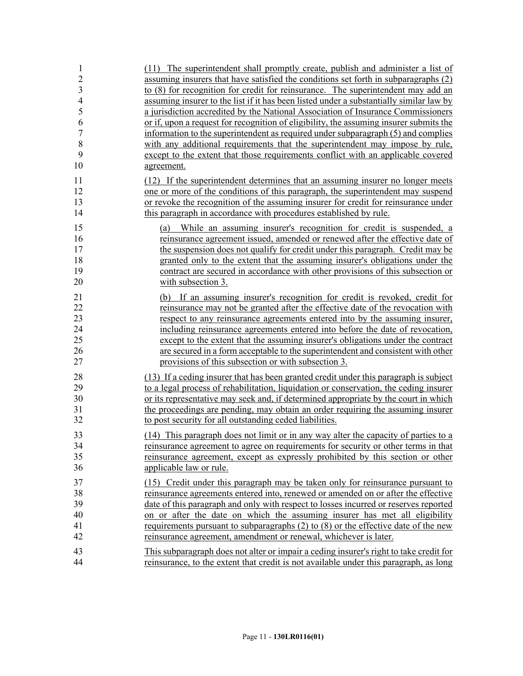| 1<br>$\overline{c}$<br>$\overline{\mathbf{3}}$ | (11) The superintendent shall promptly create, publish and administer a list of<br>assuming insurers that have satisfied the conditions set forth in subparagraphs (2)<br>to (8) for recognition for credit for reinsurance. The superintendent may add an |
|------------------------------------------------|------------------------------------------------------------------------------------------------------------------------------------------------------------------------------------------------------------------------------------------------------------|
| 4<br>5                                         | assuming insurer to the list if it has been listed under a substantially similar law by<br>a jurisdiction accredited by the National Association of Insurance Commissioners                                                                                |
| 6<br>7                                         | or if, upon a request for recognition of eligibility, the assuming insurer submits the<br>information to the superintendent as required under subparagraph (5) and complies                                                                                |
| 8                                              | with any additional requirements that the superintendent may impose by rule,                                                                                                                                                                               |
| 9<br>10                                        | except to the extent that those requirements conflict with an applicable covered<br>agreement.                                                                                                                                                             |
| 11                                             | (12) If the superintendent determines that an assuming insurer no longer meets                                                                                                                                                                             |
| 12                                             | one or more of the conditions of this paragraph, the superintendent may suspend                                                                                                                                                                            |
| 13<br>14                                       | or revoke the recognition of the assuming insurer for credit for reinsurance under<br>this paragraph in accordance with procedures established by rule.                                                                                                    |
| 15                                             | While an assuming insurer's recognition for credit is suspended, a<br>(a)                                                                                                                                                                                  |
| 16                                             | reinsurance agreement issued, amended or renewed after the effective date of                                                                                                                                                                               |
| 17<br>18                                       | the suspension does not qualify for credit under this paragraph. Credit may be<br>granted only to the extent that the assuming insurer's obligations under the                                                                                             |
| 19                                             | contract are secured in accordance with other provisions of this subsection or                                                                                                                                                                             |
| 20                                             | with subsection 3.                                                                                                                                                                                                                                         |
| 21                                             | If an assuming insurer's recognition for credit is revoked, credit for<br>(b)                                                                                                                                                                              |
| 22                                             | reinsurance may not be granted after the effective date of the revocation with                                                                                                                                                                             |
| 23                                             | respect to any reinsurance agreements entered into by the assuming insurer,                                                                                                                                                                                |
| 24                                             | including reinsurance agreements entered into before the date of revocation,                                                                                                                                                                               |
| 25                                             | except to the extent that the assuming insurer's obligations under the contract                                                                                                                                                                            |
| 26                                             | are secured in a form acceptable to the superintendent and consistent with other                                                                                                                                                                           |
| 27                                             | provisions of this subsection or with subsection 3.                                                                                                                                                                                                        |
| 28                                             | (13) If a ceding insurer that has been granted credit under this paragraph is subject                                                                                                                                                                      |
| 29                                             | to a legal process of rehabilitation, liquidation or conservation, the ceding insurer                                                                                                                                                                      |
| 30                                             | or its representative may seek and, if determined appropriate by the court in which                                                                                                                                                                        |
| 31                                             | the proceedings are pending, may obtain an order requiring the assuming insurer                                                                                                                                                                            |
| 32                                             | to post security for all outstanding ceded liabilities.                                                                                                                                                                                                    |
| 33                                             | (14) This paragraph does not limit or in any way alter the capacity of parties to a                                                                                                                                                                        |
| 34                                             | reinsurance agreement to agree on requirements for security or other terms in that                                                                                                                                                                         |
| 35                                             | reinsurance agreement, except as expressly prohibited by this section or other                                                                                                                                                                             |
| 36                                             | applicable law or rule.                                                                                                                                                                                                                                    |
| 37                                             | (15) Credit under this paragraph may be taken only for reinsurance pursuant to                                                                                                                                                                             |
| 38                                             | reinsurance agreements entered into, renewed or amended on or after the effective                                                                                                                                                                          |
| 39                                             | date of this paragraph and only with respect to losses incurred or reserves reported                                                                                                                                                                       |
| 40                                             | on or after the date on which the assuming insurer has met all eligibility                                                                                                                                                                                 |
| 41                                             | requirements pursuant to subparagraphs $(2)$ to $(8)$ or the effective date of the new                                                                                                                                                                     |
| 42                                             | reinsurance agreement, amendment or renewal, whichever is later.                                                                                                                                                                                           |
| 43                                             | This subparagraph does not alter or impair a ceding insurer's right to take credit for                                                                                                                                                                     |
| 44                                             | reinsurance, to the extent that credit is not available under this paragraph, as long                                                                                                                                                                      |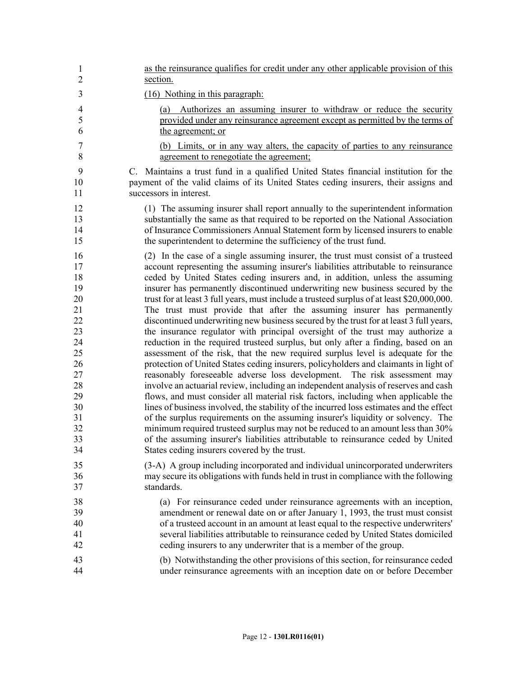| $\mathbf{1}$             | as the reinsurance qualifies for credit under any other applicable provision of this                                                                                          |
|--------------------------|-------------------------------------------------------------------------------------------------------------------------------------------------------------------------------|
| $\overline{2}$           | section.                                                                                                                                                                      |
| 3                        | (16) Nothing in this paragraph:                                                                                                                                               |
| $\overline{4}$<br>5<br>6 | Authorizes an assuming insurer to withdraw or reduce the security<br>(a)<br>provided under any reinsurance agreement except as permitted by the terms of<br>the agreement; or |
| 7                        | (b) Limits, or in any way alters, the capacity of parties to any reinsurance                                                                                                  |
| 8                        | agreement to renegotiate the agreement;                                                                                                                                       |
| 9                        | C. Maintains a trust fund in a qualified United States financial institution for the                                                                                          |
| 10                       | payment of the valid claims of its United States ceding insurers, their assigns and                                                                                           |
| 11                       | successors in interest.                                                                                                                                                       |
| 12                       | (1) The assuming insurer shall report annually to the superintendent information                                                                                              |
| 13                       | substantially the same as that required to be reported on the National Association                                                                                            |
| 14                       | of Insurance Commissioners Annual Statement form by licensed insurers to enable                                                                                               |
| 15                       | the superintendent to determine the sufficiency of the trust fund.                                                                                                            |
| 16                       | (2) In the case of a single assuming insurer, the trust must consist of a trusteed                                                                                            |
| 17                       | account representing the assuming insurer's liabilities attributable to reinsurance                                                                                           |
| 18                       | ceded by United States ceding insurers and, in addition, unless the assuming                                                                                                  |
| 19                       | insurer has permanently discontinued underwriting new business secured by the                                                                                                 |
| 20                       | trust for at least 3 full years, must include a trusteed surplus of at least \$20,000,000.                                                                                    |
| 21                       | The trust must provide that after the assuming insurer has permanently                                                                                                        |
| 22                       | discontinued underwriting new business secured by the trust for at least 3 full years,                                                                                        |
| 23                       | the insurance regulator with principal oversight of the trust may authorize a                                                                                                 |
| 24                       | reduction in the required trusteed surplus, but only after a finding, based on an                                                                                             |
| 25                       | assessment of the risk, that the new required surplus level is adequate for the                                                                                               |
| 26                       | protection of United States ceding insurers, policyholders and claimants in light of                                                                                          |
| 27                       | reasonably foreseeable adverse loss development. The risk assessment may                                                                                                      |
| 28                       | involve an actuarial review, including an independent analysis of reserves and cash                                                                                           |
| 29                       | flows, and must consider all material risk factors, including when applicable the                                                                                             |
| 30                       | lines of business involved, the stability of the incurred loss estimates and the effect                                                                                       |
| 31                       | of the surplus requirements on the assuming insurer's liquidity or solvency. The                                                                                              |
| 32                       | minimum required trusteed surplus may not be reduced to an amount less than 30%                                                                                               |
| 33                       | of the assuming insurer's liabilities attributable to reinsurance ceded by United                                                                                             |
| 34                       | States ceding insurers covered by the trust.                                                                                                                                  |
| 35                       | (3-A) A group including incorporated and individual unincorporated underwriters                                                                                               |
| 36                       | may secure its obligations with funds held in trust in compliance with the following                                                                                          |
| 37                       | standards.                                                                                                                                                                    |
| 38                       | (a) For reinsurance ceded under reinsurance agreements with an inception,                                                                                                     |
| 39                       | amendment or renewal date on or after January 1, 1993, the trust must consist                                                                                                 |
| 40                       | of a trusteed account in an amount at least equal to the respective underwriters'                                                                                             |
| 41                       | several liabilities attributable to reinsurance ceded by United States domiciled                                                                                              |
| 42                       | ceding insurers to any underwriter that is a member of the group.                                                                                                             |
| 43                       | (b) Notwithstanding the other provisions of this section, for reinsurance ceded                                                                                               |
| 44                       | under reinsurance agreements with an inception date on or before December                                                                                                     |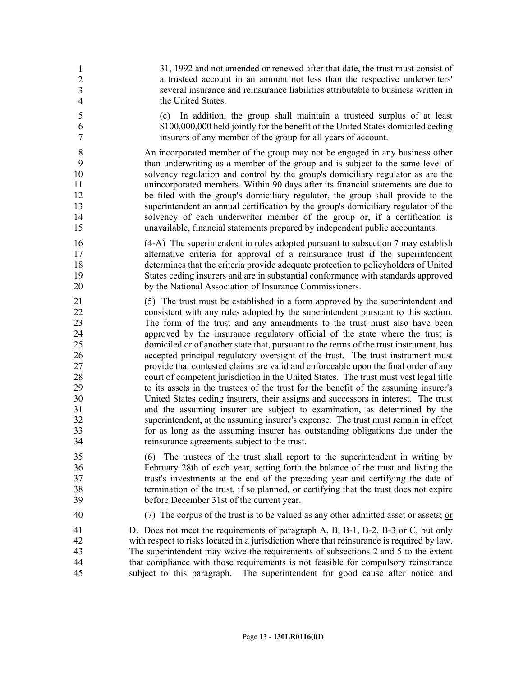45 31, 1992 and not amended or renewed after that date, the trust must consist of a trusteed account in an amount not less than the respective underwriters' several insurance and reinsurance liabilities attributable to business written in the United States.

5 (c) In addition, the group shall maintain a trusteed surplus of at least 6 \$100,000,000 held jointly for the benefit of the United States domiciled ceding 7 insurers of any member of the group for all years of account.

8 An incorporated member of the group may not be engaged in any business other 9 than underwriting as a member of the group and is subject to the same level of 10 solvency regulation and control by the group's domiciliary regulator as are the 11 unincorporated members. Within 90 days after its financial statements are due to 12 be filed with the group's domiciliary regulator, the group shall provide to the 13 superintendent an annual certification by the group's domiciliary regulator of the 14 solvency of each underwriter member of the group or, if a certification is 15 unavailable, financial statements prepared by independent public accountants.

16 (4-A) The superintendent in rules adopted pursuant to subsection 7 may establish 17 alternative criteria for approval of a reinsurance trust if the superintendent 18 determines that the criteria provide adequate protection to policyholders of United 19 States ceding insurers and are in substantial conformance with standards approved 20 by the National Association of Insurance Commissioners.

21 (5) The trust must be established in a form approved by the superintendent and 22 consistent with any rules adopted by the superintendent pursuant to this section. 23 The form of the trust and any amendments to the trust must also have been 24 approved by the insurance regulatory official of the state where the trust is 25 domiciled or of another state that, pursuant to the terms of the trust instrument, has 26 accepted principal regulatory oversight of the trust. The trust instrument must 27 provide that contested claims are valid and enforceable upon the final order of any 28 court of competent jurisdiction in the United States. The trust must vest legal title 29 to its assets in the trustees of the trust for the benefit of the assuming insurer's 30 United States ceding insurers, their assigns and successors in interest. The trust 31 and the assuming insurer are subject to examination, as determined by the 32 superintendent, at the assuming insurer's expense. The trust must remain in effect 33 for as long as the assuming insurer has outstanding obligations due under the 34 reinsurance agreements subject to the trust.

35 (6) The trustees of the trust shall report to the superintendent in writing by 36 February 28th of each year, setting forth the balance of the trust and listing the 37 trust's investments at the end of the preceding year and certifying the date of 38 termination of the trust, if so planned, or certifying that the trust does not expire 39 before December 31st of the current year.

40 (7) The corpus of the trust is to be valued as any other admitted asset or assets; or

41 D. Does not meet the requirements of paragraph A, B, B-1, B-2, B-3 or C, but only 42 with respect to risks located in a jurisdiction where that reinsurance is required by law. 43 The superintendent may waive the requirements of subsections 2 and 5 to the extent 44 that compliance with those requirements is not feasible for compulsory reinsurance 45 subject to this paragraph. The superintendent for good cause after notice and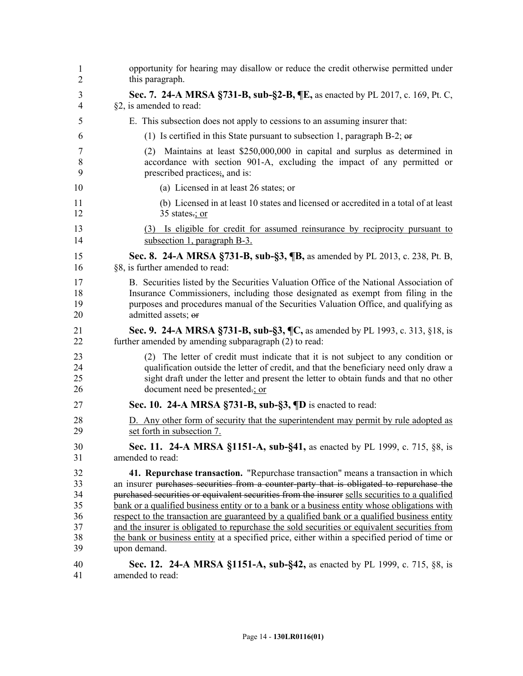| 1              | opportunity for hearing may disallow or reduce the credit otherwise permitted under            |
|----------------|------------------------------------------------------------------------------------------------|
| $\overline{2}$ | this paragraph.                                                                                |
| 3              | Sec. 7. 24-A MRSA §731-B, sub-§2-B, ¶E, as enacted by PL 2017, c. 169, Pt. C,                  |
| 4              | §2, is amended to read:                                                                        |
| 5              | E. This subsection does not apply to cessions to an assuming insurer that:                     |
| 6              | (1) Is certified in this State pursuant to subsection 1, paragraph B-2; $\theta$               |
| 7              | (2) Maintains at least \$250,000,000 in capital and surplus as determined in                   |
| 8              | accordance with section 901-A, excluding the impact of any permitted or                        |
| 9              | prescribed practices; and is:                                                                  |
| 10             | (a) Licensed in at least 26 states; or                                                         |
| 11             | (b) Licensed in at least 10 states and licensed or accredited in a total of at least           |
| 12             | 35 states $\div$ ; or                                                                          |
| 13             | (3) Is eligible for credit for assumed reinsurance by reciprocity pursuant to                  |
| 14             | subsection 1, paragraph B-3.                                                                   |
| 15             | Sec. 8. 24-A MRSA §731-B, sub-§3, ¶B, as amended by PL 2013, c. 238, Pt. B,                    |
| 16             | §8, is further amended to read:                                                                |
| 17             | B. Securities listed by the Securities Valuation Office of the National Association of         |
| 18             | Insurance Commissioners, including those designated as exempt from filing in the               |
| 19             | purposes and procedures manual of the Securities Valuation Office, and qualifying as           |
| 20             | admitted assets; or                                                                            |
| 21             | Sec. 9. 24-A MRSA §731-B, sub-§3, ¶C, as amended by PL 1993, c. 313, §18, is                   |
| 22             | further amended by amending subparagraph (2) to read:                                          |
| 23             | (2) The letter of credit must indicate that it is not subject to any condition or              |
| 24             | qualification outside the letter of credit, and that the beneficiary need only draw a          |
| 25             | sight draft under the letter and present the letter to obtain funds and that no other          |
| 26             | document need be presented.; or                                                                |
| 27             | Sec. 10. 24-A MRSA $\S$ 731-B, sub- $\S$ 3, $\P$ D is enacted to read:                         |
| 28             | D. Any other form of security that the superintendent may permit by rule adopted as            |
| 29             | set forth in subsection 7.                                                                     |
| 30             | Sec. 11. 24-A MRSA §1151-A, sub-§41, as enacted by PL 1999, c. 715, §8, is                     |
| 31             | amended to read:                                                                               |
| 32             | 41. Repurchase transaction. "Repurchase transaction" means a transaction in which              |
| 33             | an insurer purchases securities from a counter-party that is obligated to repurchase the       |
| 34             | purchased securities or equivalent securities from the insurer sells securities to a qualified |
| 35             | bank or a qualified business entity or to a bank or a business entity whose obligations with   |
| 36             | respect to the transaction are guaranteed by a qualified bank or a qualified business entity   |
| 37             | and the insurer is obligated to repurchase the sold securities or equivalent securities from   |
| 38             | the bank or business entity at a specified price, either within a specified period of time or  |
| 39             | upon demand.                                                                                   |
| 40             | Sec. 12. 24-A MRSA §1151-A, sub-§42, as enacted by PL 1999, c. 715, §8, is                     |
| 41             | amended to read:                                                                               |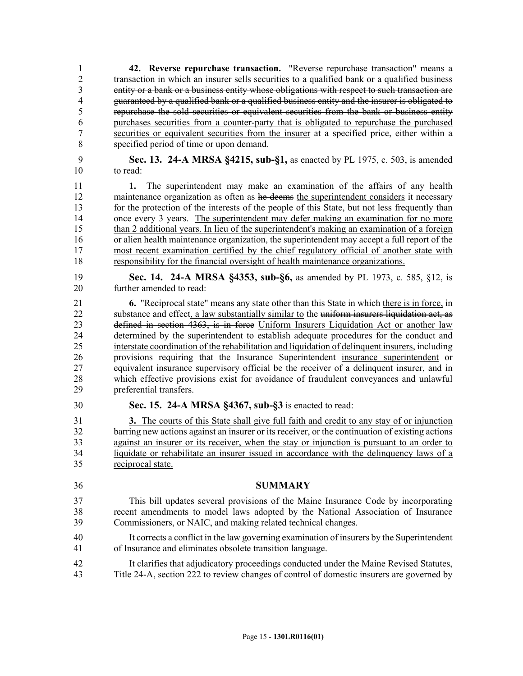1 **42. Reverse repurchase transaction.** "Reverse repurchase transaction" means a 2 transaction in which an insurer sells securities to a qualified bank or a qualified business 3 entity or a bank or a business entity whose obligations with respect to such transaction are 4 guaranteed by a qualified bank or a qualified business entity and the insurer is obligated to 5 repurchase the sold securities or equivalent securities from the bank or business entity 6 purchases securities from a counter-party that is obligated to repurchase the purchased 7 securities or equivalent securities from the insurer at a specified price, either within a 8 specified period of time or upon demand.

9 **Sec. 13. 24-A MRSA §4215, sub-§1,** as enacted by PL 1975, c. 503, is amended 10 to read:

11 **1.** The superintendent may make an examination of the affairs of any health 12 maintenance organization as often as he deems the superintendent considers it necessary 13 for the protection of the interests of the people of this State, but not less frequently than 14 once every 3 years. The superintendent may defer making an examination for no more 15 than 2 additional years. In lieu of the superintendent's making an examination of a foreign 16 or alien health maintenance organization, the superintendent may accept a full report of the 17 most recent examination certified by the chief regulatory official of another state with 18 responsibility for the financial oversight of health maintenance organizations.

19 **Sec. 14. 24-A MRSA §4353, sub-§6,** as amended by PL 1973, c. 585, §12, is 20 further amended to read:

21 **6.** "Reciprocal state" means any state other than this State in which there is in force, in 22 substance and effect, a law substantially similar to the uniform insurers liquidation act, as<br>23 defined in section 4363, is in force Uniform Insurers Liquidation Act or another law defined in section 4363, is in force Uniform Insurers Liquidation Act or another law 24 determined by the superintendent to establish adequate procedures for the conduct and 25 interstate coordination of the rehabilitation and liquidation of delinquent insurers, including 26 provisions requiring that the Insurance Superintendent insurance superintendent or 27 equivalent insurance supervisory official be the receiver of a delinquent insurer, and in 28 which effective provisions exist for avoidance of fraudulent conveyances and unlawful 29 preferential transfers.

30 **Sec. 15. 24-A MRSA §4367, sub-§3** is enacted to read:

31 **3.** The courts of this State shall give full faith and credit to any stay of or injunction 32 barring new actions against an insurer or its receiver, or the continuation of existing actions 33 against an insurer or its receiver, when the stay or injunction is pursuant to an order to 34 liquidate or rehabilitate an insurer issued in accordance with the delinquency laws of a 35 reciprocal state.

- 36 **SUMMARY**
- 37 This bill updates several provisions of the Maine Insurance Code by incorporating 38 recent amendments to model laws adopted by the National Association of Insurance 39 Commissioners, or NAIC, and making related technical changes.
- 40 It corrects a conflict in the law governing examination of insurers by the Superintendent 41 of Insurance and eliminates obsolete transition language.
- 42 It clarifies that adjudicatory proceedings conducted under the Maine Revised Statutes, 43 Title 24-A, section 222 to review changes of control of domestic insurers are governed by